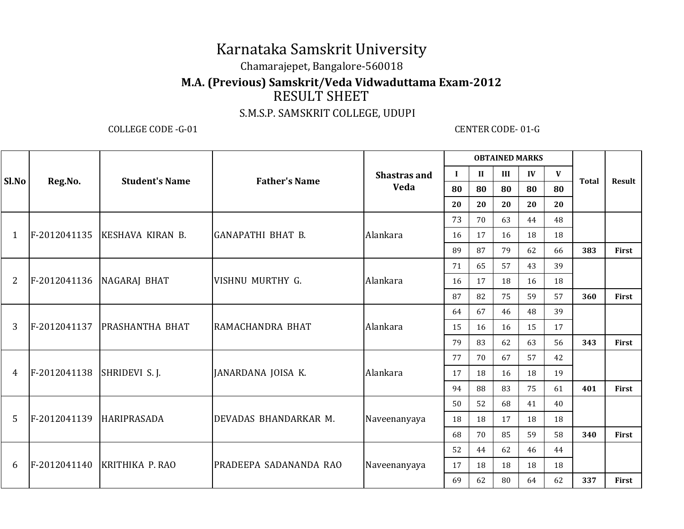# Karnataka Samskrit University

### Chamarajepet, Bangalore-560018

### **M.A. (Previous) Samskrit/Veda Vidwaduttama Exam-2012**

## RESULT SHEET

#### S.M.S.P. SAMSKRIT COLLEGE, UDUPI

COLLEGE CODE -G-01 CENTER CODE- 01-G

| Sl.No          | Reg.No.      | <b>Student's Name</b>       | <b>Father's Name</b>     | <b>Shastras and</b><br>Veda | <b>OBTAINED MARKS</b> |              |     |    |    |              |              |
|----------------|--------------|-----------------------------|--------------------------|-----------------------------|-----------------------|--------------|-----|----|----|--------------|--------------|
|                |              |                             |                          |                             | $\bf{I}$              | $\mathbf{I}$ | III | IV | V  |              | Result       |
|                |              |                             |                          |                             | 80                    | 80           | 80  | 80 | 80 | <b>Total</b> |              |
|                |              |                             |                          |                             | 20                    | 20           | 20  | 20 | 20 |              |              |
|                | F-2012041135 | KESHAVA KIRAN B.            | <b>GANAPATHI BHAT B.</b> | Alankara                    | 73                    | 70           | 63  | 44 | 48 |              |              |
| 1              |              |                             |                          |                             | 16                    | 17           | 16  | 18 | 18 |              |              |
|                |              |                             |                          |                             | 89                    | 87           | 79  | 62 | 66 | 383          | <b>First</b> |
| $\overline{2}$ | F-2012041136 | NAGARAJ BHAT                | VISHNU MURTHY G.         | Alankara                    | 71                    | 65           | 57  | 43 | 39 |              |              |
|                |              |                             |                          |                             | 16                    | 17           | 18  | 16 | 18 |              |              |
|                |              |                             |                          |                             | 87                    | 82           | 75  | 59 | 57 | 360          | First        |
|                | F-2012041137 | <b>PRASHANTHA BHAT</b>      | RAMACHANDRA BHAT         | Alankara                    | 64                    | 67           | 46  | 48 | 39 |              |              |
| 3              |              |                             |                          |                             | 15                    | 16           | 16  | 15 | 17 |              |              |
|                |              |                             |                          |                             | 79                    | 83           | 62  | 63 | 56 | 343          | <b>First</b> |
|                | F-2012041138 | SHRIDEVI S.J.               | JANARDANA JOISA K.       | Alankara                    | 77                    | 70           | 67  | 57 | 42 |              |              |
| 4              |              |                             |                          |                             | 17                    | 18           | 16  | 18 | 19 |              |              |
|                |              |                             |                          |                             | 94                    | 88           | 83  | 75 | 61 | 401          | <b>First</b> |
| 5              | F-2012041139 | <b>HARIPRASADA</b>          | DEVADAS BHANDARKAR M.    | Naveenanyaya                | 50                    | 52           | 68  | 41 | 40 |              |              |
|                |              |                             |                          |                             | 18                    | 18           | 17  | 18 | 18 |              |              |
|                |              |                             |                          |                             | 68                    | 70           | 85  | 59 | 58 | 340          | <b>First</b> |
| 6              |              | F-2012041140 KRITHIKA P.RAO | PRADEEPA SADANANDA RAO   | Naveenanyaya                | 52                    | 44           | 62  | 46 | 44 |              |              |
|                |              |                             |                          |                             | 17                    | 18           | 18  | 18 | 18 |              |              |
|                |              |                             |                          |                             | 69                    | 62           | 80  | 64 | 62 | 337          | First        |